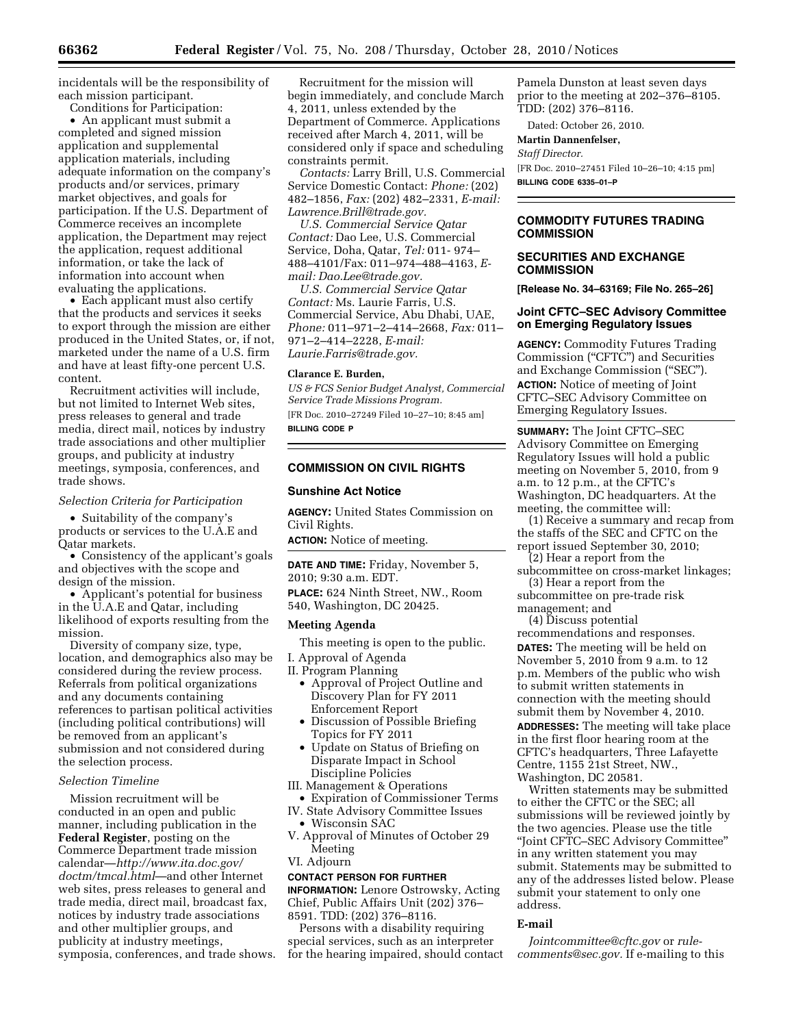incidentals will be the responsibility of each mission participant.

Conditions for Participation:

• An applicant must submit a completed and signed mission application and supplemental application materials, including adequate information on the company's products and/or services, primary market objectives, and goals for participation. If the U.S. Department of Commerce receives an incomplete application, the Department may reject the application, request additional information, or take the lack of information into account when evaluating the applications.

• Each applicant must also certify that the products and services it seeks to export through the mission are either produced in the United States, or, if not, marketed under the name of a U.S. firm and have at least fifty-one percent U.S. content.

Recruitment activities will include, but not limited to Internet Web sites, press releases to general and trade media, direct mail, notices by industry trade associations and other multiplier groups, and publicity at industry meetings, symposia, conferences, and trade shows.

#### *Selection Criteria for Participation*

• Suitability of the company's products or services to the U.A.E and Qatar markets.

• Consistency of the applicant's goals and objectives with the scope and design of the mission.

• Applicant's potential for business in the U.A.E and Qatar, including likelihood of exports resulting from the mission.

Diversity of company size, type, location, and demographics also may be considered during the review process. Referrals from political organizations and any documents containing references to partisan political activities (including political contributions) will be removed from an applicant's submission and not considered during the selection process.

### *Selection Timeline*

Mission recruitment will be conducted in an open and public manner, including publication in the **Federal Register**, posting on the Commerce Department trade mission calendar—*[http://www.ita.doc.gov/](http://www.ita.doc.gov/doctm/tmcal.html)  [doctm/tmcal.html](http://www.ita.doc.gov/doctm/tmcal.html)*—and other Internet web sites, press releases to general and trade media, direct mail, broadcast fax, notices by industry trade associations and other multiplier groups, and publicity at industry meetings, symposia, conferences, and trade shows.

Recruitment for the mission will begin immediately, and conclude March 4, 2011, unless extended by the Department of Commerce. Applications received after March 4, 2011, will be considered only if space and scheduling constraints permit.

*Contacts:* Larry Brill, U.S. Commercial Service Domestic Contact: *Phone:* (202) 482–1856, *Fax:* (202) 482–2331, *E-mail: [Lawrence.Brill@trade.gov.](mailto:Lawrence.Brill@trade.gov)* 

*U.S. Commercial Service Qatar Contact:* Dao Lee, U.S. Commercial Service, Doha, Qatar, *Tel:* 011- 974– 488–4101/Fax: 011–974–488–4163, *Email: [Dao.Lee@trade.gov.](mailto:Dao.Lee@trade.gov)* 

*U.S. Commercial Service Qatar Contact:* Ms. Laurie Farris, U.S. Commercial Service, Abu Dhabi, UAE, *Phone:* 011–971–2–414–2668, *Fax:* 011– 971–2–414–2228, *E-mail: [Laurie.Farris@trade.gov.](mailto:Laurie.Farris@trade.gov)* 

#### **Clarance E. Burden,**

*US & FCS Senior Budget Analyst, Commercial Service Trade Missions Program.*  [FR Doc. 2010–27249 Filed 10–27–10; 8:45 am] **BILLING CODE P** 

#### **COMMISSION ON CIVIL RIGHTS**

### **Sunshine Act Notice**

**AGENCY:** United States Commission on Civil Rights.

**ACTION:** Notice of meeting.

**DATE AND TIME:** Friday, November 5, 2010; 9:30 a.m. EDT. **PLACE:** 624 Ninth Street, NW., Room 540, Washington, DC 20425.

#### **Meeting Agenda**

This meeting is open to the public. I. Approval of Agenda

- II. Program Planning
	- Approval of Project Outline and Discovery Plan for FY 2011 Enforcement Report
	- Discussion of Possible Briefing Topics for FY 2011
	- Update on Status of Briefing on Disparate Impact in School Discipline Policies
- III. Management & Operations
- Expiration of Commissioner Terms IV. State Advisory Committee Issues
	- Wisconsin SAC
- V. Approval of Minutes of October 29 Meeting
- VI. Adjourn

### **CONTACT PERSON FOR FURTHER**

**INFORMATION:** Lenore Ostrowsky, Acting Chief, Public Affairs Unit (202) 376– 8591. TDD: (202) 376–8116.

Persons with a disability requiring special services, such as an interpreter for the hearing impaired, should contact Pamela Dunston at least seven days prior to the meeting at 202–376–8105. TDD: (202) 376–8116.

Dated: October 26, 2010. **Martin Dannenfelser,** 

# *Staff Director.*

[FR Doc. 2010–27451 Filed 10–26–10; 4:15 pm] **BILLING CODE 6335–01–P** 

# **COMMODITY FUTURES TRADING COMMISSION**

### **SECURITIES AND EXCHANGE COMMISSION**

**[Release No. 34–63169; File No. 265–26]** 

### **Joint CFTC–SEC Advisory Committee on Emerging Regulatory Issues**

**AGENCY:** Commodity Futures Trading Commission (''CFTC'') and Securities and Exchange Commission (''SEC''). **ACTION:** Notice of meeting of Joint CFTC–SEC Advisory Committee on Emerging Regulatory Issues.

**SUMMARY:** The Joint CFTC–SEC Advisory Committee on Emerging Regulatory Issues will hold a public meeting on November 5, 2010, from 9 a.m. to 12 p.m., at the CFTC's Washington, DC headquarters. At the meeting, the committee will:

(1) Receive a summary and recap from the staffs of the SEC and CFTC on the report issued September 30, 2010;

(2) Hear a report from the subcommittee on cross-market linkages; (3) Hear a report from the

subcommittee on pre-trade risk management; and

(4) Discuss potential

recommendations and responses. **DATES:** The meeting will be held on November 5, 2010 from 9 a.m. to 12 p.m. Members of the public who wish to submit written statements in connection with the meeting should submit them by November 4, 2010. **ADDRESSES:** The meeting will take place in the first floor hearing room at the CFTC's headquarters, Three Lafayette Centre, 1155 21st Street, NW., Washington, DC 20581.

Written statements may be submitted to either the CFTC or the SEC; all submissions will be reviewed jointly by the two agencies. Please use the title ''Joint CFTC–SEC Advisory Committee'' in any written statement you may submit. Statements may be submitted to any of the addresses listed below. Please submit your statement to only one address.

## **E-mail**

*[Jointcommittee@cftc.gov](mailto:Jointcommittee@cftc.gov)* or *[rule](mailto:rule-comments@sec.gov)[comments@sec.gov.](mailto:rule-comments@sec.gov)* If e-mailing to this